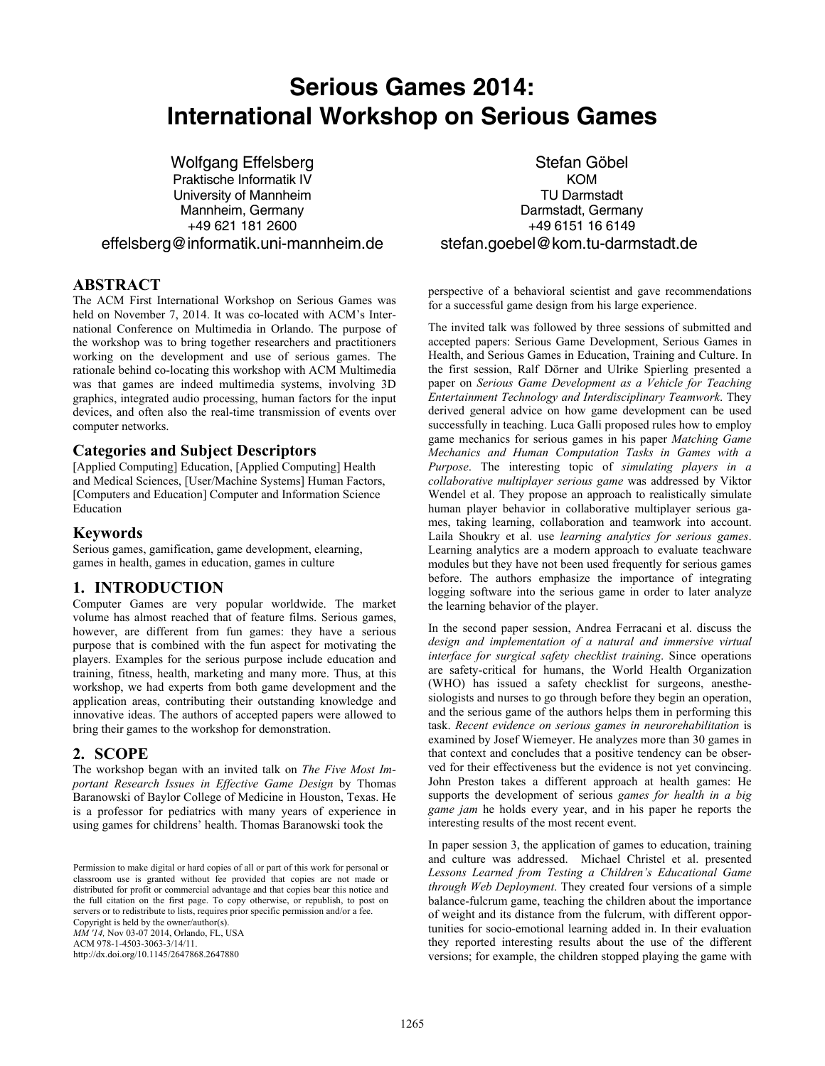# **Serious Games 2014: International Workshop on Serious Games**

Wolfgang Effelsberg Praktische Informatik IV University of Mannheim Mannheim, Germany +49 621 181 2600 effelsberg@informatik.uni-mannheim.de

## **ABSTRACT**

The ACM First International Workshop on Serious Games was held on November 7, 2014. It was co-located with ACM's International Conference on Multimedia in Orlando. The purpose of the workshop was to bring together researchers and practitioners working on the development and use of serious games. The rationale behind co-locating this workshop with ACM Multimedia was that games are indeed multimedia systems, involving 3D graphics, integrated audio processing, human factors for the input devices, and often also the real-time transmission of events over computer networks.

## **Categories and Subject Descriptors**

[Applied Computing] Education, [Applied Computing] Health and Medical Sciences, [User/Machine Systems] Human Factors, [Computers and Education] Computer and Information Science Education

#### **Keywords**

Serious games, gamification, game development, elearning, games in health, games in education, games in culture

## **1. INTRODUCTION**

Computer Games are very popular worldwide. The market volume has almost reached that of feature films. Serious games, however, are different from fun games: they have a serious purpose that is combined with the fun aspect for motivating the players. Examples for the serious purpose include education and training, fitness, health, marketing and many more. Thus, at this workshop, we had experts from both game development and the application areas, contributing their outstanding knowledge and innovative ideas. The authors of accepted papers were allowed to bring their games to the workshop for demonstration.

# **2. SCOPE**

The workshop began with an invited talk on *The Five Most Important Research Issues in Effective Game Design* by Thomas Baranowski of Baylor College of Medicine in Houston, Texas. He is a professor for pediatrics with many years of experience in using games for childrens' health. Thomas Baranowski took the

Permission to make digital or hard copies of all or part of this work for personal or classroom use is granted without fee provided that copies are not made or distributed for profit or commercial advantage and that copies bear this notice and the full citation on the first page. To copy otherwise, or republish, to post on servers or to redistribute to lists, requires prior specific permission and/or a fee. Copyright is held by the owner/author(s). *MM '14,* Nov 03-07 2014, Orlando, FL, USA ACM 978-1-4503-3063-3/14/11.

http://dx.doi.org/10.1145/2647868.2647880

Stefan Göbel **KOM** TU Darmstadt Darmstadt, Germany +49 6151 16 6149 stefan.goebel@kom.tu-darmstadt.de

perspective of a behavioral scientist and gave recommendations for a successful game design from his large experience.

The invited talk was followed by three sessions of submitted and accepted papers: Serious Game Development, Serious Games in Health, and Serious Games in Education, Training and Culture. In the first session, Ralf Dörner and Ulrike Spierling presented a paper on *Serious Game Development as a Vehicle for Teaching Entertainment Technology and Interdisciplinary Teamwork*. They derived general advice on how game development can be used successfully in teaching. Luca Galli proposed rules how to employ game mechanics for serious games in his paper *Matching Game Mechanics and Human Computation Tasks in Games with a Purpose*. The interesting topic of *simulating players in a collaborative multiplayer serious game* was addressed by Viktor Wendel et al. They propose an approach to realistically simulate human player behavior in collaborative multiplayer serious games, taking learning, collaboration and teamwork into account. Laila Shoukry et al. use *learning analytics for serious games*. Learning analytics are a modern approach to evaluate teachware modules but they have not been used frequently for serious games before. The authors emphasize the importance of integrating logging software into the serious game in order to later analyze the learning behavior of the player.

In the second paper session, Andrea Ferracani et al. discuss the *design and implementation of a natural and immersive virtual interface for surgical safety checklist training*. Since operations are safety-critical for humans, the World Health Organization (WHO) has issued a safety checklist for surgeons, anesthesiologists and nurses to go through before they begin an operation, and the serious game of the authors helps them in performing this task. *Recent evidence on serious games in neurorehabilitation* is examined by Josef Wiemeyer. He analyzes more than 30 games in that context and concludes that a positive tendency can be observed for their effectiveness but the evidence is not yet convincing. John Preston takes a different approach at health games: He supports the development of serious *games for health in a big game jam* he holds every year, and in his paper he reports the interesting results of the most recent event.

In paper session 3, the application of games to education, training and culture was addressed. Michael Christel et al. presented *Lessons Learned from Testing a Children's Educational Game through Web Deployment*. They created four versions of a simple balance-fulcrum game, teaching the children about the importance of weight and its distance from the fulcrum, with different opportunities for socio-emotional learning added in. In their evaluation they reported interesting results about the use of the different versions; for example, the children stopped playing the game with